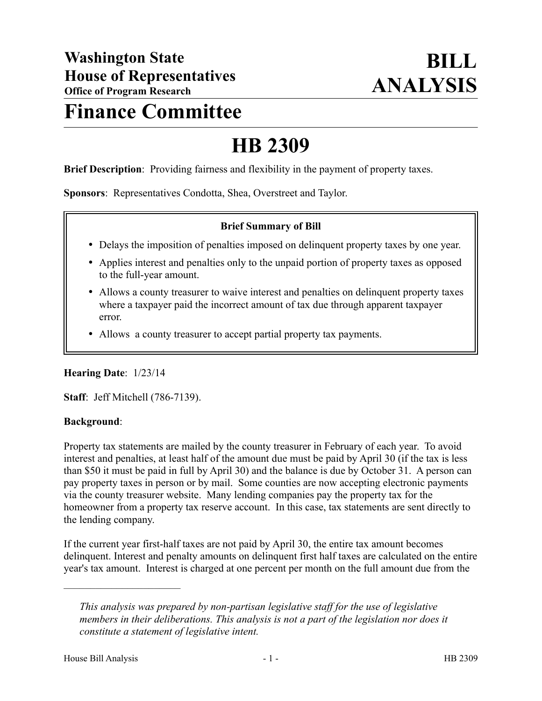# **Finance Committee**

# **HB 2309**

**Brief Description**: Providing fairness and flexibility in the payment of property taxes.

**Sponsors**: Representatives Condotta, Shea, Overstreet and Taylor.

### **Brief Summary of Bill**

- Delays the imposition of penalties imposed on delinquent property taxes by one year.
- Applies interest and penalties only to the unpaid portion of property taxes as opposed to the full-year amount.
- Allows a county treasurer to waive interest and penalties on delinquent property taxes where a taxpayer paid the incorrect amount of tax due through apparent taxpayer error.
- Allows a county treasurer to accept partial property tax payments.

#### **Hearing Date**: 1/23/14

**Staff**: Jeff Mitchell (786-7139).

#### **Background**:

Property tax statements are mailed by the county treasurer in February of each year. To avoid interest and penalties, at least half of the amount due must be paid by April 30 (if the tax is less than \$50 it must be paid in full by April 30) and the balance is due by October 31. A person can pay property taxes in person or by mail. Some counties are now accepting electronic payments via the county treasurer website. Many lending companies pay the property tax for the homeowner from a property tax reserve account. In this case, tax statements are sent directly to the lending company.

If the current year first-half taxes are not paid by April 30, the entire tax amount becomes delinquent. Interest and penalty amounts on delinquent first half taxes are calculated on the entire year's tax amount. Interest is charged at one percent per month on the full amount due from the

––––––––––––––––––––––

*This analysis was prepared by non-partisan legislative staff for the use of legislative members in their deliberations. This analysis is not a part of the legislation nor does it constitute a statement of legislative intent.*